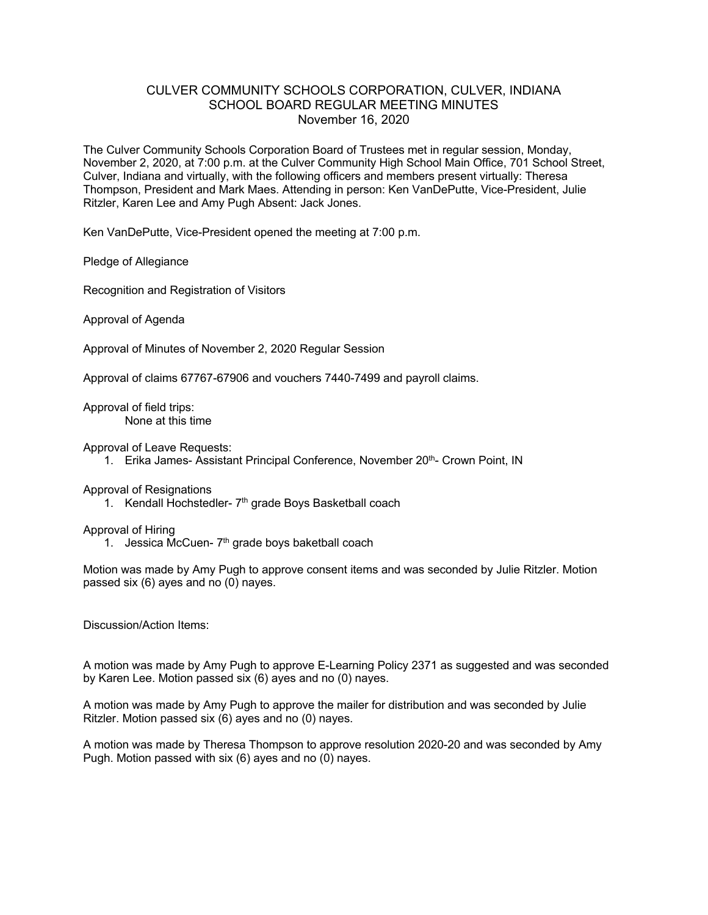## CULVER COMMUNITY SCHOOLS CORPORATION, CULVER, INDIANA SCHOOL BOARD REGULAR MEETING MINUTES November 16, 2020

The Culver Community Schools Corporation Board of Trustees met in regular session, Monday, November 2, 2020, at 7:00 p.m. at the Culver Community High School Main Office, 701 School Street, Culver, Indiana and virtually, with the following officers and members present virtually: Theresa Thompson, President and Mark Maes. Attending in person: Ken VanDePutte, Vice-President, Julie Ritzler, Karen Lee and Amy Pugh Absent: Jack Jones.

Ken VanDePutte, Vice-President opened the meeting at 7:00 p.m.

Pledge of Allegiance

Recognition and Registration of Visitors

Approval of Agenda

Approval of Minutes of November 2, 2020 Regular Session

Approval of claims 67767-67906 and vouchers 7440-7499 and payroll claims.

Approval of field trips: None at this time

Approval of Leave Requests:

1. Erika James- Assistant Principal Conference, November 20<sup>th</sup>- Crown Point, IN

## Approval of Resignations

1. Kendall Hochstedler- 7<sup>th</sup> grade Boys Basketball coach

## Approval of Hiring

1. Jessica McCuen- $7<sup>th</sup>$  grade boys baketball coach

Motion was made by Amy Pugh to approve consent items and was seconded by Julie Ritzler. Motion passed six (6) ayes and no (0) nayes.

Discussion/Action Items:

A motion was made by Amy Pugh to approve E-Learning Policy 2371 as suggested and was seconded by Karen Lee. Motion passed six (6) ayes and no (0) nayes.

A motion was made by Amy Pugh to approve the mailer for distribution and was seconded by Julie Ritzler. Motion passed six (6) ayes and no (0) nayes.

A motion was made by Theresa Thompson to approve resolution 2020-20 and was seconded by Amy Pugh. Motion passed with six (6) ayes and no (0) nayes.